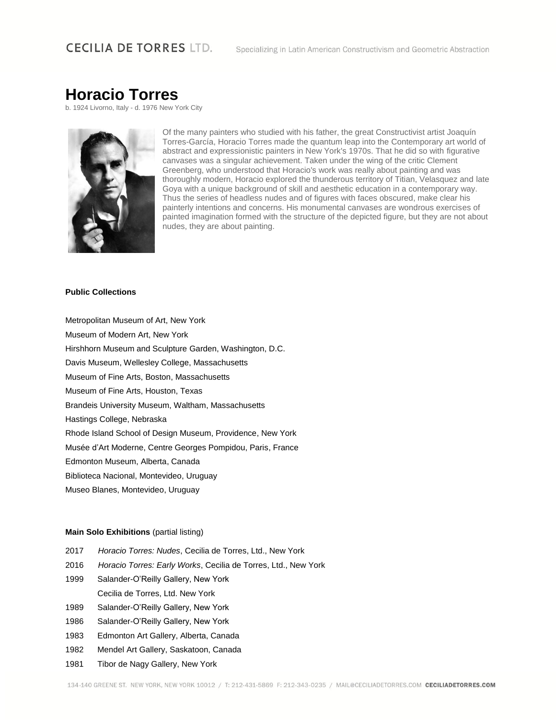# **CECILIA DE TORRES LTD.**

# **Horacio Torres**

b. 1924 Livorno, Italy - d. 1976 New York City



Of the many painters who studied with his father, the great Constructivist artist Joaquín Torres-García, Horacio Torres made the quantum leap into the Contemporary art world of abstract and expressionistic painters in New York's 1970s. That he did so with figurative canvases was a singular achievement. Taken under the wing of the critic Clement Greenberg, who understood that Horacio's work was really about painting and was thoroughly modern, Horacio explored the thunderous territory of Titian, Velasquez and late Goya with a unique background of skill and aesthetic education in a contemporary way. Thus the series of headless nudes and of figures with faces obscured, make clear his painterly intentions and concerns. His monumental canvases are wondrous exercises of painted imagination formed with the structure of the depicted figure, but they are not about nudes, they are about painting.

### **Public Collections**

Metropolitan Museum of Art, New York

Museum of Modern Art, New York

Hirshhorn Museum and Sculpture Garden, Washington, D.C.

Davis Museum, Wellesley College, Massachusetts

Museum of Fine Arts, Boston, Massachusetts

Museum of Fine Arts, Houston, Texas

Brandeis University Museum, Waltham, Massachusetts

Hastings College, Nebraska

Rhode Island School of Design Museum, Providence, New York

Musée d'Art Moderne, Centre Georges Pompidou, Paris, France

Edmonton Museum, Alberta, Canada

Biblioteca Nacional, Montevideo, Uruguay

Museo Blanes, Montevideo, Uruguay

#### **Main Solo Exhibitions** (partial listing)

- 2017 *Horacio Torres: Nudes*, Cecilia de Torres, Ltd., New York
- 2016 *Horacio Torres: Early Works*, Cecilia de Torres, Ltd., New York
- 1999 Salander-O'Reilly Gallery, New York Cecilia de Torres, Ltd. New York
- 1989 Salander-O'Reilly Gallery, New York
- 1986 Salander-O'Reilly Gallery, New York
- 1983 Edmonton Art Gallery, Alberta, Canada
- 1982 Mendel Art Gallery, Saskatoon, Canada
- 1981 Tibor de Nagy Gallery, New York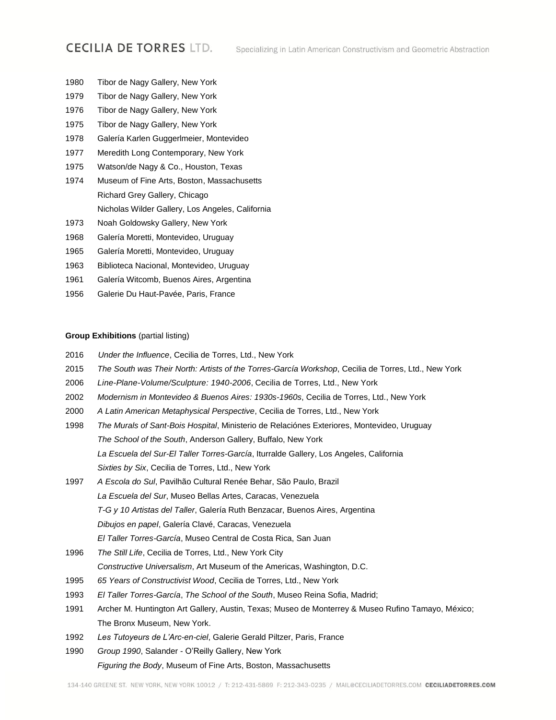# **CECILIA DE TORRES LTD.**

- 1980 Tibor de Nagy Gallery, New York
- 1979 Tibor de Nagy Gallery, New York
- 1976 Tibor de Nagy Gallery, New York
- 1975 Tibor de Nagy Gallery, New York
- 1978 Galería Karlen Guggerlmeier, Montevideo
- 1977 Meredith Long Contemporary, New York
- 1975 Watson/de Nagy & Co., Houston, Texas
- 1974 Museum of Fine Arts, Boston, Massachusetts Richard Grey Gallery, Chicago Nicholas Wilder Gallery, Los Angeles, California
- 1973 Noah Goldowsky Gallery, New York
- 1968 Galería Moretti, Montevideo, Uruguay
- 1965 Galería Moretti, Montevideo, Uruguay
- 1963 Biblioteca Nacional, Montevideo, Uruguay
- 1961 Galería Witcomb, Buenos Aires, Argentina
- 1956 Galerie Du Haut-Pavée, Paris, France

### **Group Exhibitions** (partial listing)

- 2016 *Under the Influence*, Cecilia de Torres, Ltd., New York
- 2015 *The South was Their North: Artists of the Torres-García Workshop*, Cecilia de Torres, Ltd., New York
- 2006 *Line-Plane-Volume/Sculpture: 1940-2006*, Cecilia de Torres, Ltd., New York
- 2002 *Modernism in Montevideo & Buenos Aires: 1930s-1960s*, Cecilia de Torres, Ltd., New York
- 2000 *A Latin American Metaphysical Perspective*, Cecilia de Torres, Ltd., New York
- 1998 *The Murals of Sant-Bois Hospital*, Ministerio de Relaciónes Exteriores, Montevideo, Uruguay *The School of the South*, Anderson Gallery, Buffalo, New York *La Escuela del Sur-El Taller Torres-García*, Iturralde Gallery, Los Angeles, California *Sixties by Six*, Cecilia de Torres, Ltd., New York
- 1997 *A Escola do Sul*, Pavilhão Cultural Renée Behar, São Paulo, Brazil *La Escuela del Sur*, Museo Bellas Artes, Caracas, Venezuela *T-G y 10 Artistas del Taller*, Galería Ruth Benzacar, Buenos Aires, Argentina *Dibujos en papel*, Galería Clavé, Caracas, Venezuela
	- *El Taller Torres-García*, Museo Central de Costa Rica, San Juan
- 1996 *The Still Life*, Cecilia de Torres, Ltd., New York City
	- *Constructive Universalism*, Art Museum of the Americas, Washington, D.C.
- 1995 *65 Years of Constructivist Wood*, Cecilia de Torres, Ltd., New York
- 1993 *El Taller Torres-García*, *The School of the South*, Museo Reina Sofia, Madrid;
- 1991 Archer M. Huntington Art Gallery, Austin, Texas; Museo de Monterrey & Museo Rufino Tamayo, México; The Bronx Museum, New York.
- 1992 *Les Tutoyeurs de L'Arc-en-ciel*, Galerie Gerald Piltzer, Paris, France
- 1990 *Group 1990*, Salander O'Reilly Gallery, New York
	- *Figuring the Body*, Museum of Fine Arts, Boston, Massachusetts